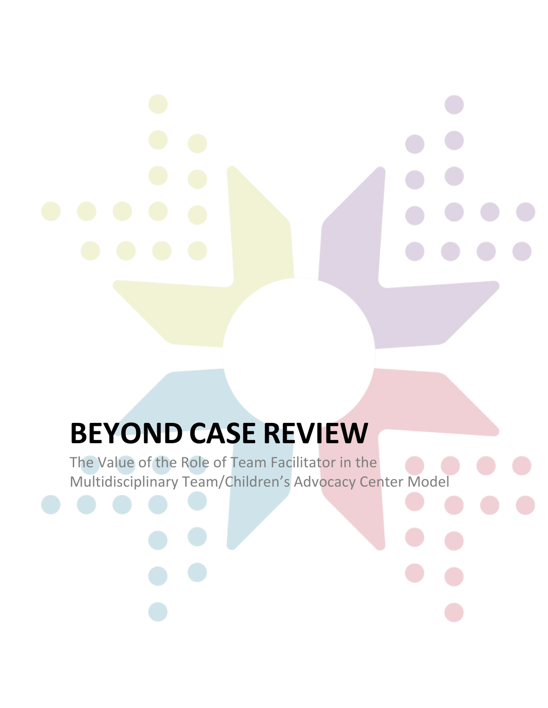# **BEYOND CASE REVIEW**

The Value of the Role of Team Facilitator in the Multidisciplinary Team/Children's Advocacy Center Model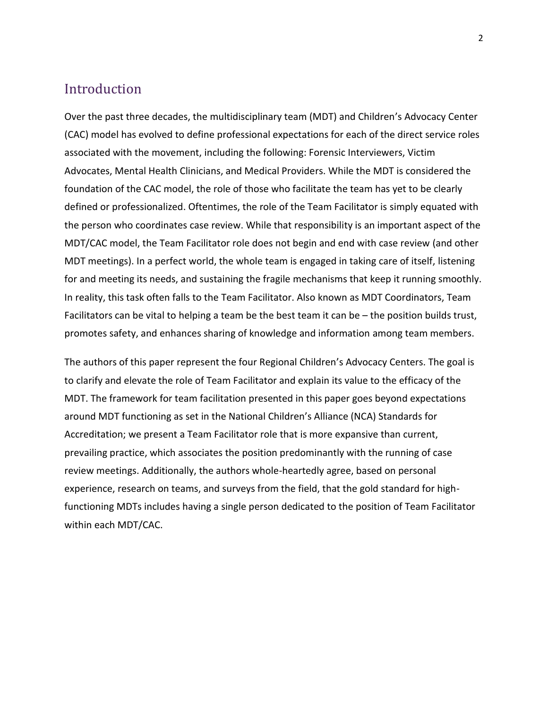#### Introduction

Over the past three decades, the multidisciplinary team (MDT) and Children's Advocacy Center (CAC) model has evolved to define professional expectations for each of the direct service roles associated with the movement, including the following: Forensic Interviewers, Victim Advocates, Mental Health Clinicians, and Medical Providers. While the MDT is considered the foundation of the CAC model, the role of those who facilitate the team has yet to be clearly defined or professionalized. Oftentimes, the role of the Team Facilitator is simply equated with the person who coordinates case review. While that responsibility is an important aspect of the MDT/CAC model, the Team Facilitator role does not begin and end with case review (and other MDT meetings). In a perfect world, the whole team is engaged in taking care of itself, listening for and meeting its needs, and sustaining the fragile mechanisms that keep it running smoothly. In reality, this task often falls to the Team Facilitator. Also known as MDT Coordinators, Team Facilitators can be vital to helping a team be the best team it can be – the position builds trust, promotes safety, and enhances sharing of knowledge and information among team members.

The authors of this paper represent the four Regional Children's Advocacy Centers. The goal is to clarify and elevate the role of Team Facilitator and explain its value to the efficacy of the MDT. The framework for team facilitation presented in this paper goes beyond expectations around MDT functioning as set in the National Children's Alliance (NCA) Standards for Accreditation; we present a Team Facilitator role that is more expansive than current, prevailing practice, which associates the position predominantly with the running of case review meetings. Additionally, the authors whole-heartedly agree, based on personal experience, research on teams, and surveys from the field, that the gold standard for highfunctioning MDTs includes having a single person dedicated to the position of Team Facilitator within each MDT/CAC.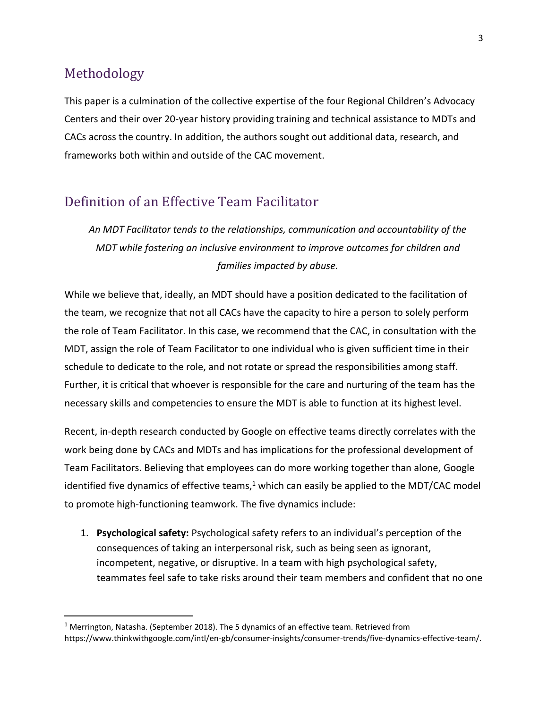## Methodology

This paper is a culmination of the collective expertise of the four Regional Children's Advocacy Centers and their over 20-year history providing training and technical assistance to MDTs and CACs across the country. In addition, the authors sought out additional data, research, and frameworks both within and outside of the CAC movement.

### Definition of an Effective Team Facilitator

*An MDT Facilitator tends to the relationships, communication and accountability of the MDT while fostering an inclusive environment to improve outcomes for children and families impacted by abuse.*

While we believe that, ideally, an MDT should have a position dedicated to the facilitation of the team, we recognize that not all CACs have the capacity to hire a person to solely perform the role of Team Facilitator. In this case, we recommend that the CAC, in consultation with the MDT, assign the role of Team Facilitator to one individual who is given sufficient time in their schedule to dedicate to the role, and not rotate or spread the responsibilities among staff. Further, it is critical that whoever is responsible for the care and nurturing of the team has the necessary skills and competencies to ensure the MDT is able to function at its highest level.

Recent, in-depth research conducted by Google on effective teams directly correlates with the work being done by CACs and MDTs and has implications for the professional development of Team Facilitators. Believing that employees can do more working together than alone, Google identified five dynamics of effective teams,<sup>1</sup> which can easily be applied to the MDT/CAC model to promote high-functioning teamwork. The five dynamics include:

1. **Psychological safety:** Psychological safety refers to an individual's perception of the consequences of taking an interpersonal risk, such as being seen as ignorant, incompetent, negative, or disruptive. In a team with high psychological safety, teammates feel safe to take risks around their team members and confident that no one

 $1$  Merrington, Natasha. (September 2018). The 5 dynamics of an effective team. Retrieved from https://www.thinkwithgoogle.com/intl/en-gb/consumer-insights/consumer-trends/five-dynamics-effective-team/.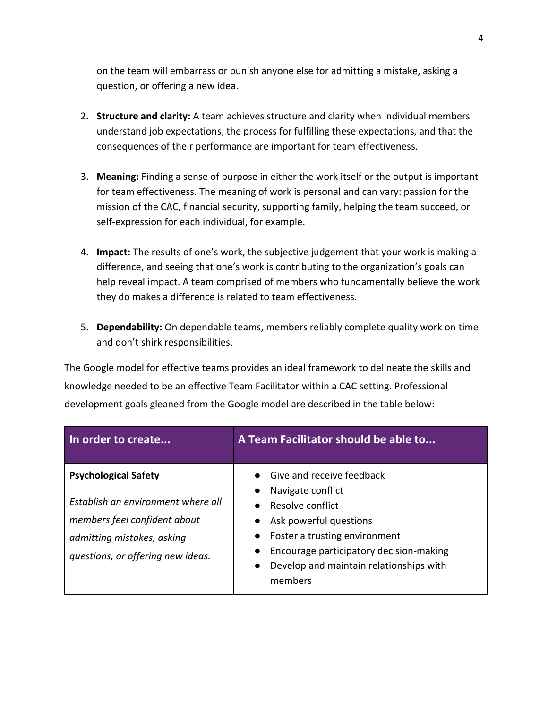on the team will embarrass or punish anyone else for admitting a mistake, asking a question, or offering a new idea.

- 2. **Structure and clarity:** A team achieves structure and clarity when individual members understand job expectations, the process for fulfilling these expectations, and that the consequences of their performance are important for team effectiveness.
- 3. **Meaning:** Finding a sense of purpose in either the work itself or the output is important for team effectiveness. The meaning of work is personal and can vary: passion for the mission of the CAC, financial security, supporting family, helping the team succeed, or self-expression for each individual, for example.
- 4. **Impact:** The results of one's work, the subjective judgement that your work is making a difference, and seeing that one's work is contributing to the organization's goals can help reveal impact. A team comprised of members who fundamentally believe the work they do makes a difference is related to team effectiveness.
- 5. **Dependability:** On dependable teams, members reliably complete quality work on time and don't shirk responsibilities.

The Google model for effective teams provides an ideal framework to delineate the skills and knowledge needed to be an effective Team Facilitator within a CAC setting. Professional development goals gleaned from the Google model are described in the table below:

| In order to create                                                                                                                                                   | A Team Facilitator should be able to                                                                                                                                                                                                        |
|----------------------------------------------------------------------------------------------------------------------------------------------------------------------|---------------------------------------------------------------------------------------------------------------------------------------------------------------------------------------------------------------------------------------------|
| <b>Psychological Safety</b><br>Establish an environment where all<br>members feel confident about<br>admitting mistakes, asking<br>questions, or offering new ideas. | Give and receive feedback<br>Navigate conflict<br>Resolve conflict<br>Ask powerful questions<br>Foster a trusting environment<br>Encourage participatory decision-making<br>Develop and maintain relationships with<br>$\bullet$<br>members |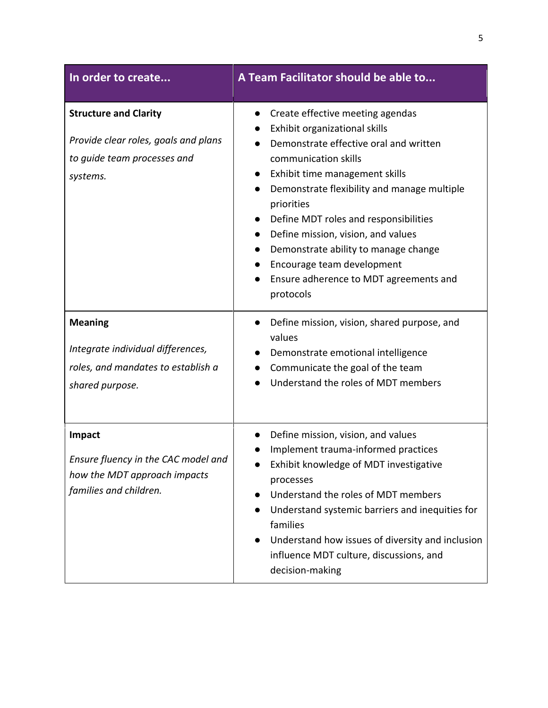| In order to create                                                                                              | A Team Facilitator should be able to                                                                                                                                                                                                                                                                                                                                                                                                                                                                                                                   |
|-----------------------------------------------------------------------------------------------------------------|--------------------------------------------------------------------------------------------------------------------------------------------------------------------------------------------------------------------------------------------------------------------------------------------------------------------------------------------------------------------------------------------------------------------------------------------------------------------------------------------------------------------------------------------------------|
| <b>Structure and Clarity</b><br>Provide clear roles, goals and plans<br>to guide team processes and<br>systems. | Create effective meeting agendas<br>$\bullet$<br>Exhibit organizational skills<br>$\bullet$<br>Demonstrate effective oral and written<br>communication skills<br>Exhibit time management skills<br>$\bullet$<br>Demonstrate flexibility and manage multiple<br>$\bullet$<br>priorities<br>Define MDT roles and responsibilities<br>$\bullet$<br>Define mission, vision, and values<br>Demonstrate ability to manage change<br>$\bullet$<br>Encourage team development<br>$\bullet$<br>Ensure adherence to MDT agreements and<br>$\bullet$<br>protocols |
| <b>Meaning</b><br>Integrate individual differences,<br>roles, and mandates to establish a<br>shared purpose.    | Define mission, vision, shared purpose, and<br>$\bullet$<br>values<br>Demonstrate emotional intelligence<br>Communicate the goal of the team<br>Understand the roles of MDT members                                                                                                                                                                                                                                                                                                                                                                    |
| Impact<br>Ensure fluency in the CAC model and<br>how the MDT approach impacts<br>families and children.         | Define mission, vision, and values<br>$\bullet$<br>Implement trauma-informed practices<br>Exhibit knowledge of MDT investigative<br>processes<br>Understand the roles of MDT members<br>Understand systemic barriers and inequities for<br>$\bullet$<br>families<br>Understand how issues of diversity and inclusion<br>influence MDT culture, discussions, and<br>decision-making                                                                                                                                                                     |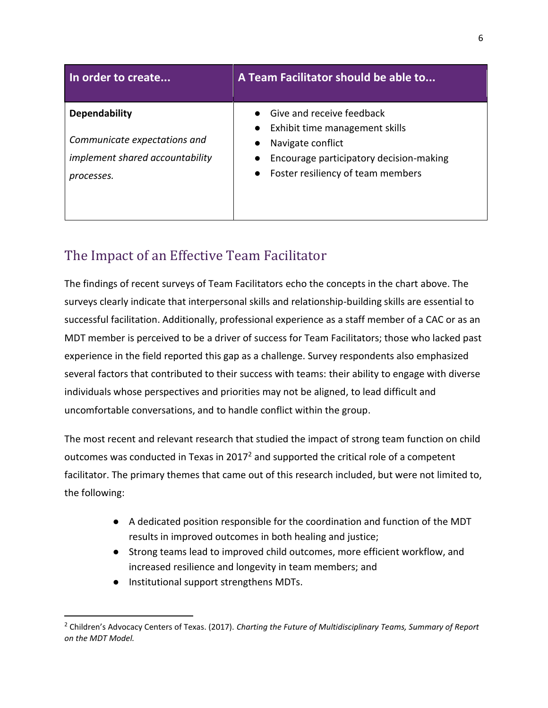| In order to create                     | A Team Facilitator should be able to    |
|----------------------------------------|-----------------------------------------|
| <b>Dependability</b>                   | Give and receive feedback               |
|                                        | Exhibit time management skills          |
| Communicate expectations and           | Navigate conflict<br>$\bullet$          |
| <i>implement shared accountability</i> | Encourage participatory decision-making |
| processes.                             | Foster resiliency of team members       |
|                                        |                                         |
|                                        |                                         |

# The Impact of an Effective Team Facilitator

The findings of recent surveys of Team Facilitators echo the concepts in the chart above. The surveys clearly indicate that interpersonal skills and relationship-building skills are essential to successful facilitation. Additionally, professional experience as a staff member of a CAC or as an MDT member is perceived to be a driver of success for Team Facilitators; those who lacked past experience in the field reported this gap as a challenge. Survey respondents also emphasized several factors that contributed to their success with teams: their ability to engage with diverse individuals whose perspectives and priorities may not be aligned, to lead difficult and uncomfortable conversations, and to handle conflict within the group.

The most recent and relevant research that studied the impact of strong team function on child outcomes was conducted in Texas in 2017<sup>2</sup> and supported the critical role of a competent facilitator. The primary themes that came out of this research included, but were not limited to, the following:

- A dedicated position responsible for the coordination and function of the MDT results in improved outcomes in both healing and justice;
- Strong teams lead to improved child outcomes, more efficient workflow, and increased resilience and longevity in team members; and
- Institutional support strengthens MDTs.

<sup>2</sup> Children's Advocacy Centers of Texas. (2017). *Charting the Future of Multidisciplinary Teams, Summary of Report on the MDT Model.*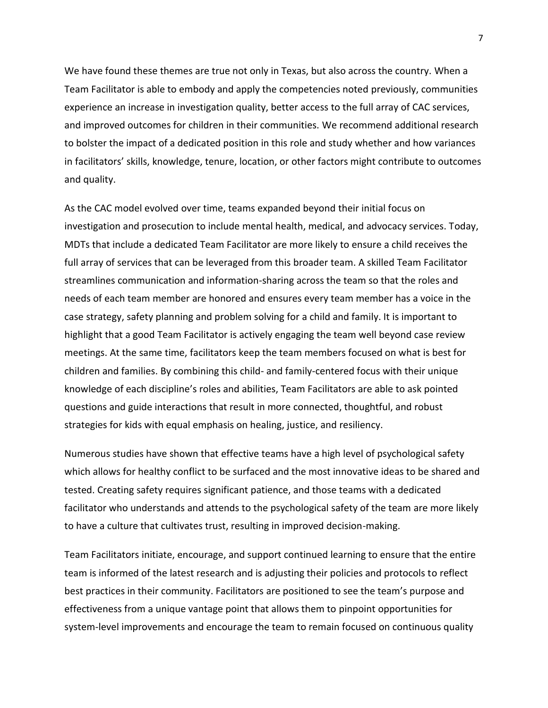We have found these themes are true not only in Texas, but also across the country. When a Team Facilitator is able to embody and apply the competencies noted previously, communities experience an increase in investigation quality, better access to the full array of CAC services, and improved outcomes for children in their communities. We recommend additional research to bolster the impact of a dedicated position in this role and study whether and how variances in facilitators' skills, knowledge, tenure, location, or other factors might contribute to outcomes and quality.

As the CAC model evolved over time, teams expanded beyond their initial focus on investigation and prosecution to include mental health, medical, and advocacy services. Today, MDTs that include a dedicated Team Facilitator are more likely to ensure a child receives the full array of services that can be leveraged from this broader team. A skilled Team Facilitator streamlines communication and information-sharing across the team so that the roles and needs of each team member are honored and ensures every team member has a voice in the case strategy, safety planning and problem solving for a child and family. It is important to highlight that a good Team Facilitator is actively engaging the team well beyond case review meetings. At the same time, facilitators keep the team members focused on what is best for children and families. By combining this child- and family-centered focus with their unique knowledge of each discipline's roles and abilities, Team Facilitators are able to ask pointed questions and guide interactions that result in more connected, thoughtful, and robust strategies for kids with equal emphasis on healing, justice, and resiliency.

Numerous studies have shown that effective teams have a high level of psychological safety which allows for healthy conflict to be surfaced and the most innovative ideas to be shared and tested. Creating safety requires significant patience, and those teams with a dedicated facilitator who understands and attends to the psychological safety of the team are more likely to have a culture that cultivates trust, resulting in improved decision-making.

Team Facilitators initiate, encourage, and support continued learning to ensure that the entire team is informed of the latest research and is adjusting their policies and protocols to reflect best practices in their community. Facilitators are positioned to see the team's purpose and effectiveness from a unique vantage point that allows them to pinpoint opportunities for system-level improvements and encourage the team to remain focused on continuous quality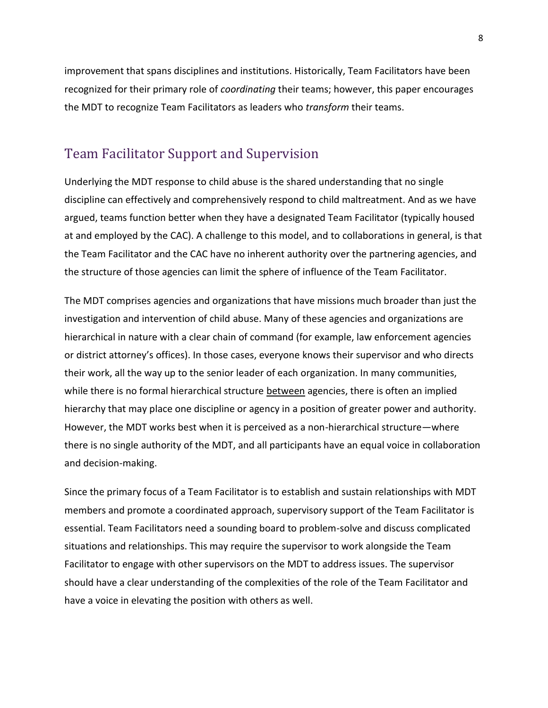improvement that spans disciplines and institutions. Historically, Team Facilitators have been recognized for their primary role of *coordinating* their teams; however, this paper encourages the MDT to recognize Team Facilitators as leaders who *transform* their teams.

#### Team Facilitator Support and Supervision

Underlying the MDT response to child abuse is the shared understanding that no single discipline can effectively and comprehensively respond to child maltreatment. And as we have argued, teams function better when they have a designated Team Facilitator (typically housed at and employed by the CAC). A challenge to this model, and to collaborations in general, is that the Team Facilitator and the CAC have no inherent authority over the partnering agencies, and the structure of those agencies can limit the sphere of influence of the Team Facilitator.

The MDT comprises agencies and organizations that have missions much broader than just the investigation and intervention of child abuse. Many of these agencies and organizations are hierarchical in nature with a clear chain of command (for example, law enforcement agencies or district attorney's offices). In those cases, everyone knows their supervisor and who directs their work, all the way up to the senior leader of each organization. In many communities, while there is no formal hierarchical structure between agencies, there is often an implied hierarchy that may place one discipline or agency in a position of greater power and authority. However, the MDT works best when it is perceived as a non-hierarchical structure—where there is no single authority of the MDT, and all participants have an equal voice in collaboration and decision-making.

Since the primary focus of a Team Facilitator is to establish and sustain relationships with MDT members and promote a coordinated approach, supervisory support of the Team Facilitator is essential. Team Facilitators need a sounding board to problem-solve and discuss complicated situations and relationships. This may require the supervisor to work alongside the Team Facilitator to engage with other supervisors on the MDT to address issues. The supervisor should have a clear understanding of the complexities of the role of the Team Facilitator and have a voice in elevating the position with others as well.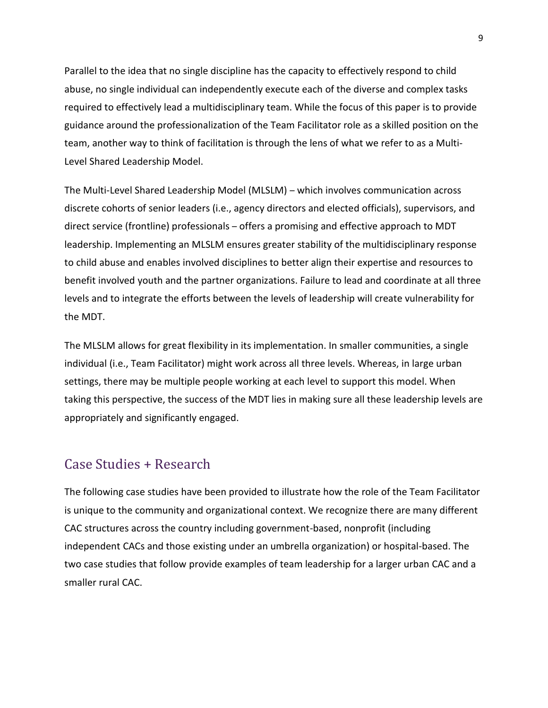Parallel to the idea that no single discipline has the capacity to effectively respond to child abuse, no single individual can independently execute each of the diverse and complex tasks required to effectively lead a multidisciplinary team. While the focus of this paper is to provide guidance around the professionalization of the Team Facilitator role as a skilled position on the team, another way to think of facilitation is through the lens of what we refer to as a Multi-Level Shared Leadership Model.

The Multi-Level Shared Leadership Model (MLSLM) – which involves communication across discrete cohorts of senior leaders (i.e., agency directors and elected officials), supervisors, and direct service (frontline) professionals – offers a promising and effective approach to MDT leadership. Implementing an MLSLM ensures greater stability of the multidisciplinary response to child abuse and enables involved disciplines to better align their expertise and resources to benefit involved youth and the partner organizations. Failure to lead and coordinate at all three levels and to integrate the efforts between the levels of leadership will create vulnerability for the MDT.

The MLSLM allows for great flexibility in its implementation. In smaller communities, a single individual (i.e., Team Facilitator) might work across all three levels. Whereas, in large urban settings, there may be multiple people working at each level to support this model. When taking this perspective, the success of the MDT lies in making sure all these leadership levels are appropriately and significantly engaged.

## Case Studies + Research

The following case studies have been provided to illustrate how the role of the Team Facilitator is unique to the community and organizational context. We recognize there are many different CAC structures across the country including government-based, nonprofit (including independent CACs and those existing under an umbrella organization) or hospital-based. The two case studies that follow provide examples of team leadership for a larger urban CAC and a smaller rural CAC.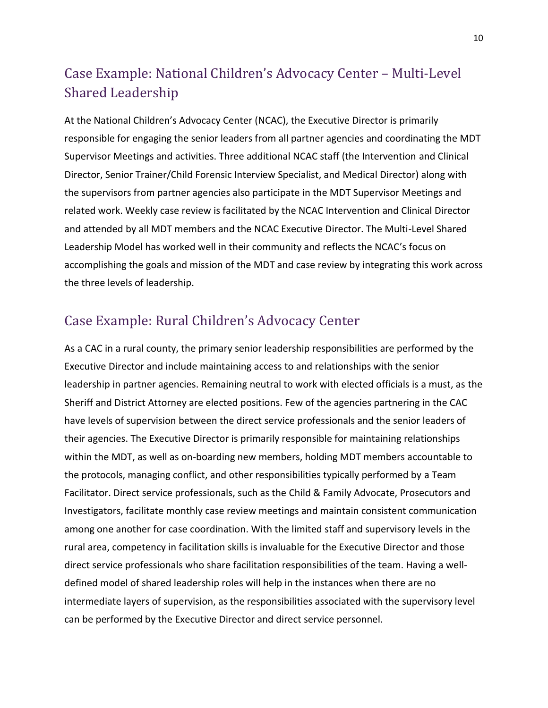# Case Example: National Children's Advocacy Center – Multi-Level Shared Leadership

At the National Children's Advocacy Center (NCAC), the Executive Director is primarily responsible for engaging the senior leaders from all partner agencies and coordinating the MDT Supervisor Meetings and activities. Three additional NCAC staff (the Intervention and Clinical Director, Senior Trainer/Child Forensic Interview Specialist, and Medical Director) along with the supervisors from partner agencies also participate in the MDT Supervisor Meetings and related work. Weekly case review is facilitated by the NCAC Intervention and Clinical Director and attended by all MDT members and the NCAC Executive Director. The Multi-Level Shared Leadership Model has worked well in their community and reflects the NCAC's focus on accomplishing the goals and mission of the MDT and case review by integrating this work across the three levels of leadership.

# Case Example: Rural Children's Advocacy Center

As a CAC in a rural county, the primary senior leadership responsibilities are performed by the Executive Director and include maintaining access to and relationships with the senior leadership in partner agencies. Remaining neutral to work with elected officials is a must, as the Sheriff and District Attorney are elected positions. Few of the agencies partnering in the CAC have levels of supervision between the direct service professionals and the senior leaders of their agencies. The Executive Director is primarily responsible for maintaining relationships within the MDT, as well as on-boarding new members, holding MDT members accountable to the protocols, managing conflict, and other responsibilities typically performed by a Team Facilitator. Direct service professionals, such as the Child & Family Advocate, Prosecutors and Investigators, facilitate monthly case review meetings and maintain consistent communication among one another for case coordination. With the limited staff and supervisory levels in the rural area, competency in facilitation skills is invaluable for the Executive Director and those direct service professionals who share facilitation responsibilities of the team. Having a welldefined model of shared leadership roles will help in the instances when there are no intermediate layers of supervision, as the responsibilities associated with the supervisory level can be performed by the Executive Director and direct service personnel.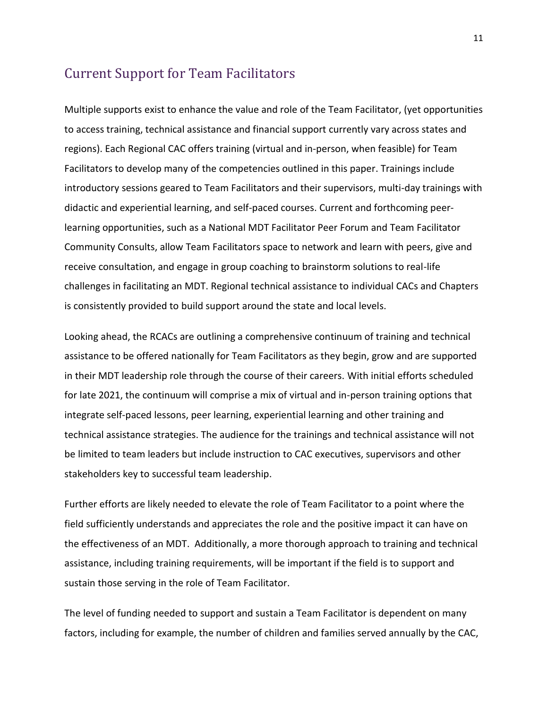#### Current Support for Team Facilitators

Multiple supports exist to enhance the value and role of the Team Facilitator, (yet opportunities to access training, technical assistance and financial support currently vary across states and regions). Each Regional CAC offers training (virtual and in-person, when feasible) for Team Facilitators to develop many of the competencies outlined in this paper. Trainings include introductory sessions geared to Team Facilitators and their supervisors, multi-day trainings with didactic and experiential learning, and self-paced courses. Current and forthcoming peerlearning opportunities, such as a National MDT Facilitator Peer Forum and Team Facilitator Community Consults, allow Team Facilitators space to network and learn with peers, give and receive consultation, and engage in group coaching to brainstorm solutions to real-life challenges in facilitating an MDT. Regional technical assistance to individual CACs and Chapters is consistently provided to build support around the state and local levels.

Looking ahead, the RCACs are outlining a comprehensive continuum of training and technical assistance to be offered nationally for Team Facilitators as they begin, grow and are supported in their MDT leadership role through the course of their careers. With initial efforts scheduled for late 2021, the continuum will comprise a mix of virtual and in-person training options that integrate self-paced lessons, peer learning, experiential learning and other training and technical assistance strategies. The audience for the trainings and technical assistance will not be limited to team leaders but include instruction to CAC executives, supervisors and other stakeholders key to successful team leadership.

Further efforts are likely needed to elevate the role of Team Facilitator to a point where the field sufficiently understands and appreciates the role and the positive impact it can have on the effectiveness of an MDT. Additionally, a more thorough approach to training and technical assistance, including training requirements, will be important if the field is to support and sustain those serving in the role of Team Facilitator.

The level of funding needed to support and sustain a Team Facilitator is dependent on many factors, including for example, the number of children and families served annually by the CAC,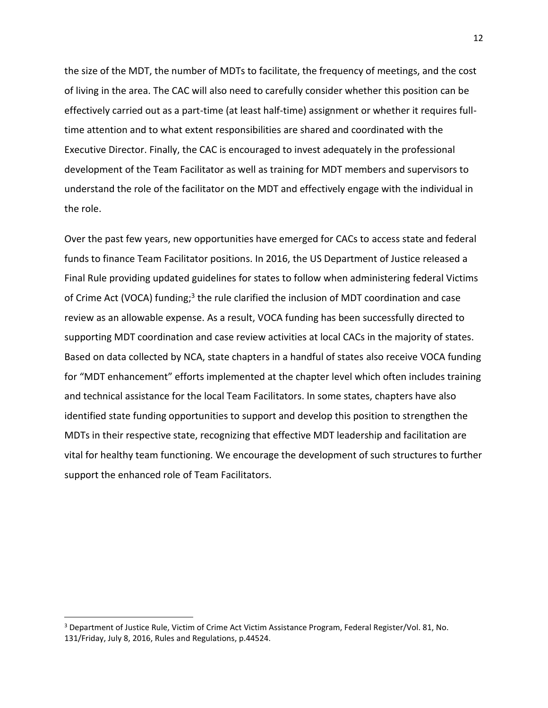the size of the MDT, the number of MDTs to facilitate, the frequency of meetings, and the cost of living in the area. The CAC will also need to carefully consider whether this position can be effectively carried out as a part-time (at least half-time) assignment or whether it requires fulltime attention and to what extent responsibilities are shared and coordinated with the Executive Director. Finally, the CAC is encouraged to invest adequately in the professional development of the Team Facilitator as well as training for MDT members and supervisors to understand the role of the facilitator on the MDT and effectively engage with the individual in the role.

Over the past few years, new opportunities have emerged for CACs to access state and federal funds to finance Team Facilitator positions. In 2016, the US Department of Justice released a Final Rule providing updated guidelines for states to follow when administering federal Victims of Crime Act (VOCA) funding;<sup>3</sup> the rule clarified the inclusion of MDT coordination and case review as an allowable expense. As a result, VOCA funding has been successfully directed to supporting MDT coordination and case review activities at local CACs in the majority of states. Based on data collected by NCA, state chapters in a handful of states also receive VOCA funding for "MDT enhancement" efforts implemented at the chapter level which often includes training and technical assistance for the local Team Facilitators. In some states, chapters have also identified state funding opportunities to support and develop this position to strengthen the MDTs in their respective state, recognizing that effective MDT leadership and facilitation are vital for healthy team functioning. We encourage the development of such structures to further support the enhanced role of Team Facilitators.

<sup>3</sup> Department of Justice Rule, Victim of Crime Act Victim Assistance Program, Federal Register/Vol. 81, No. 131/Friday, July 8, 2016, Rules and Regulations, p.44524.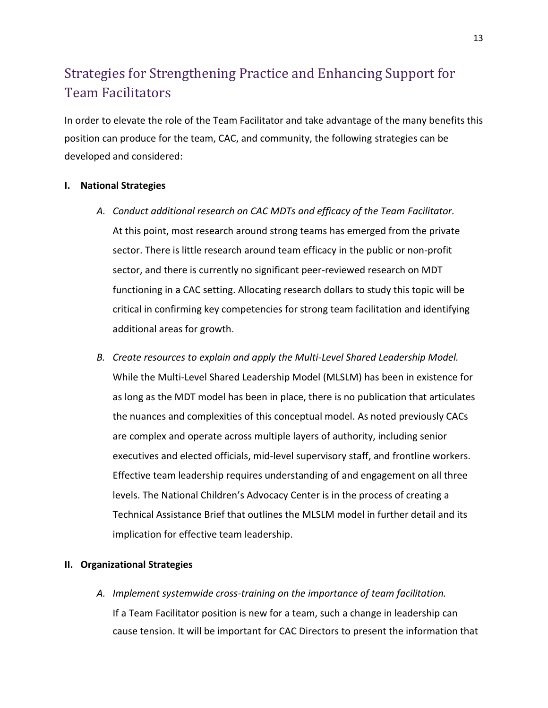# Strategies for Strengthening Practice and Enhancing Support for Team Facilitators

In order to elevate the role of the Team Facilitator and take advantage of the many benefits this position can produce for the team, CAC, and community, the following strategies can be developed and considered:

#### **I. National Strategies**

- *A. Conduct additional research on CAC MDTs and efficacy of the Team Facilitator.* At this point, most research around strong teams has emerged from the private sector. There is little research around team efficacy in the public or non-profit sector, and there is currently no significant peer-reviewed research on MDT functioning in a CAC setting. Allocating research dollars to study this topic will be critical in confirming key competencies for strong team facilitation and identifying additional areas for growth.
- *B. Create resources to explain and apply the Multi-Level Shared Leadership Model.* While the Multi-Level Shared Leadership Model (MLSLM) has been in existence for as long as the MDT model has been in place, there is no publication that articulates the nuances and complexities of this conceptual model. As noted previously CACs are complex and operate across multiple layers of authority, including senior executives and elected officials, mid-level supervisory staff, and frontline workers. Effective team leadership requires understanding of and engagement on all three levels. The National Children's Advocacy Center is in the process of creating a Technical Assistance Brief that outlines the MLSLM model in further detail and its implication for effective team leadership.

#### **II. Organizational Strategies**

*A. Implement systemwide cross-training on the importance of team facilitation.* If a Team Facilitator position is new for a team, such a change in leadership can cause tension. It will be important for CAC Directors to present the information that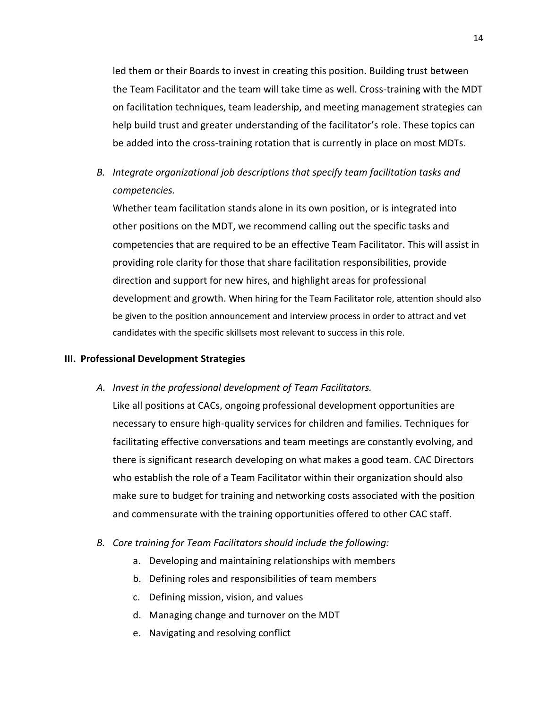led them or their Boards to invest in creating this position. Building trust between the Team Facilitator and the team will take time as well. Cross-training with the MDT on facilitation techniques, team leadership, and meeting management strategies can help build trust and greater understanding of the facilitator's role. These topics can be added into the cross-training rotation that is currently in place on most MDTs.

*B. Integrate organizational job descriptions that specify team facilitation tasks and competencies.*

Whether team facilitation stands alone in its own position, or is integrated into other positions on the MDT, we recommend calling out the specific tasks and competencies that are required to be an effective Team Facilitator. This will assist in providing role clarity for those that share facilitation responsibilities, provide direction and support for new hires, and highlight areas for professional development and growth. When hiring for the Team Facilitator role, attention should also be given to the position announcement and interview process in order to attract and vet candidates with the specific skillsets most relevant to success in this role.

#### **III. Professional Development Strategies**

*A. Invest in the professional development of Team Facilitators.*

Like all positions at CACs, ongoing professional development opportunities are necessary to ensure high-quality services for children and families. Techniques for facilitating effective conversations and team meetings are constantly evolving, and there is significant research developing on what makes a good team. CAC Directors who establish the role of a Team Facilitator within their organization should also make sure to budget for training and networking costs associated with the position and commensurate with the training opportunities offered to other CAC staff.

- *B. Core training for Team Facilitators should include the following:*
	- a. Developing and maintaining relationships with members
	- b. Defining roles and responsibilities of team members
	- c. Defining mission, vision, and values
	- d. Managing change and turnover on the MDT
	- e. Navigating and resolving conflict